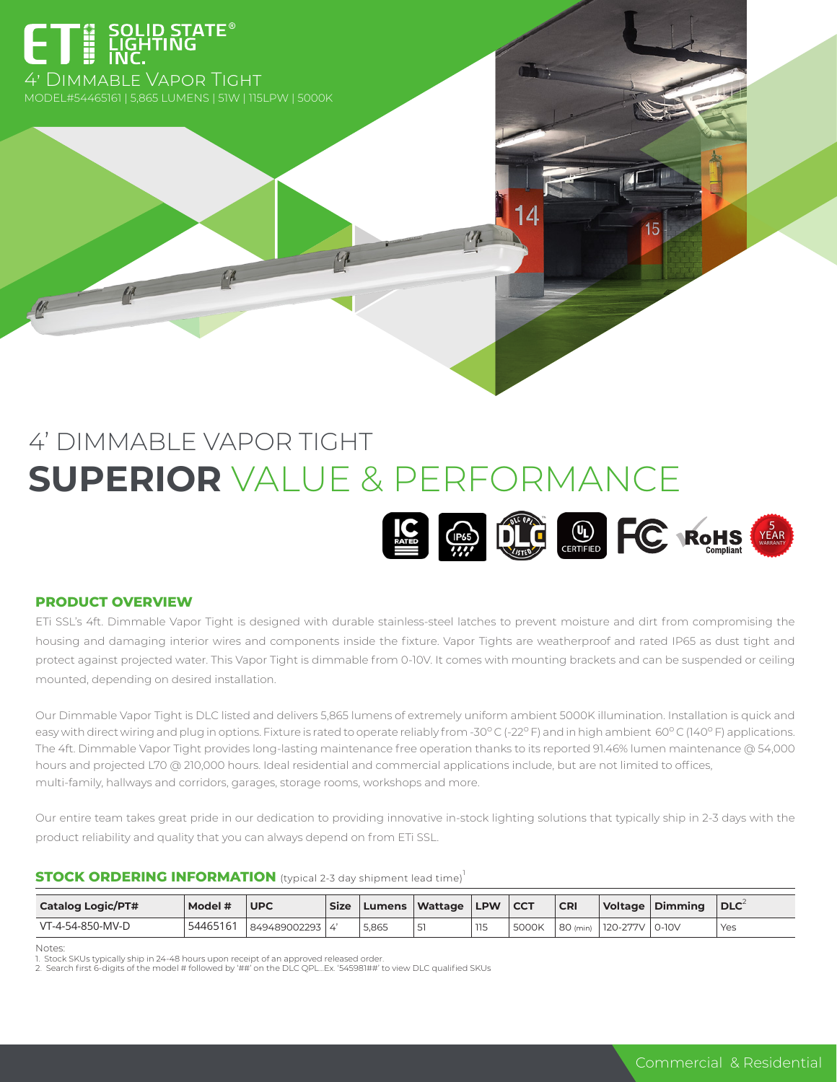

MODEL#54465161 | 5,865 LUMENS | 51W | 115LPW | 5000K

# 4' DIMMABLE VAPOR TIGHT **SUPERIOR** VALUE & PERFORMANCE



# **PRODUCT OVERVIEW**

ETi SSL's 4ft. Dimmable Vapor Tight is designed with durable stainless-steel latches to prevent moisture and dirt from compromising the housing and damaging interior wires and components inside the fixture. Vapor Tights are weatherproof and rated IP65 as dust tight and protect against projected water. This Vapor Tight is dimmable from 0-10V. It comes with mounting brackets and can be suspended or ceiling mounted, depending on desired installation.

Our Dimmable Vapor Tight is DLC listed and delivers 5,865 lumens of extremely uniform ambient 5000K illumination. Installation is quick and easy with direct wiring and plug in options. Fixture is rated to operate reliably from -30°C (-22°F) and in high ambient 60°C (140°F) applications. The 4ft. Dimmable Vapor Tight provides long-lasting maintenance free operation thanks to its reported 91.46% lumen maintenance @ 54,000 hours and projected L70 @ 210,000 hours. Ideal residential and commercial applications include, but are not limited to offices, multi-family, hallways and corridors, garages, storage rooms, workshops and more.

Our entire team takes great pride in our dedication to providing innovative in-stock lighting solutions that typically ship in 2-3 days with the product reliability and quality that you can always depend on from ETi SSL.

## **STOCK ORDERING INFORMATION** (typical 2-3 day shipment lead time)<sup>1</sup>

| <b>Catalog Logic/PT#</b> | Model #  | <b>UPC</b>     | <b>Size</b> | Lumens | Wattage | <b>LPW</b> | <b>CCT</b> | ∣ CRI    |          | Voltage Dimming | <b>DLC</b> |
|--------------------------|----------|----------------|-------------|--------|---------|------------|------------|----------|----------|-----------------|------------|
| VT-4-54-850-MV-D         | 54465161 | 849489002293 4 |             | 5.865  | ы       | 115        | 5000K      | 80 (min) | 120-277V | $ 0-10V$        | Yes        |

Notes:

1. Stock SKUs typically ship in 24-48 hours upon receipt of an approved released order.<br>2. Search first 6-digits of the model # followed by '##' on the DLC QPL…Ex. '545981##' to view DLC qualified SKUs